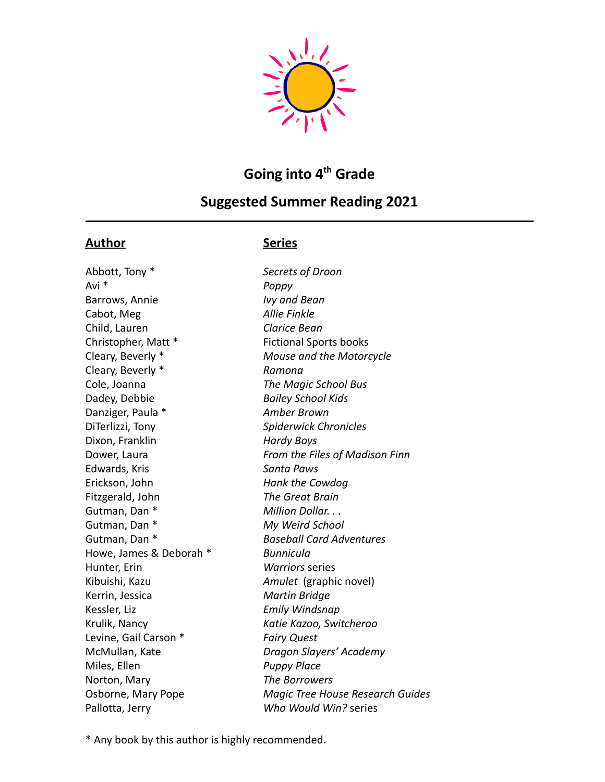

# **Going into 4 th Grade**

## **Suggested Summer Reading 2021**

## **Author Series**

Abbott, Tony \* *Secrets of Droon* Avi \* *Poppy* Barrows, Annie *Ivy and Bean* Cabot, Meg *Allie Finkle* Child, Lauren *Clarice Bean* Christopher, Matt \* Fictional Sports books Cleary, Beverly \* *Ramona* Cole, Joanna *The Magic School Bus* Dadey, Debbie *Bailey School Kids* Danziger, Paula \* *Amber Brown* DiTerlizzi, Tony *Spiderwick Chronicles* Dixon, Franklin *Hardy Boys* Edwards, Kris *Santa Paws* Erickson, John *Hank the Cowdog* Fitzgerald, John *The Great Brain* Gutman, Dan \* **Million Dollar.** . . Gutman, Dan \* *My Weird School* Howe, James & Deborah \* *Bunnicula* Hunter, Erin *Warriors* series Kibuishi, Kazu *Amulet* (graphic novel) Kerrin, Jessica *Martin Bridge* Kessler, Liz *Emily Windsnap* Krulik, Nancy *Katie Kazoo, Switcheroo* Levine, Gail Carson \* *Fairy Quest* Miles, Ellen *Puppy Place* Norton, Mary *The Borrowers* Pallotta, Jerry *Who Would Win?* series

Cleary, Beverly \* *Mouse and the Motorcycle* Dower, Laura *From the Files of Madison Finn* Gutman, Dan \* *Baseball Card Adventures* McMullan, Kate *Dragon Slayers' Academy* Osborne, Mary Pope *Magic Tree House Research Guides*

\* Any book by this author is highly recommended.